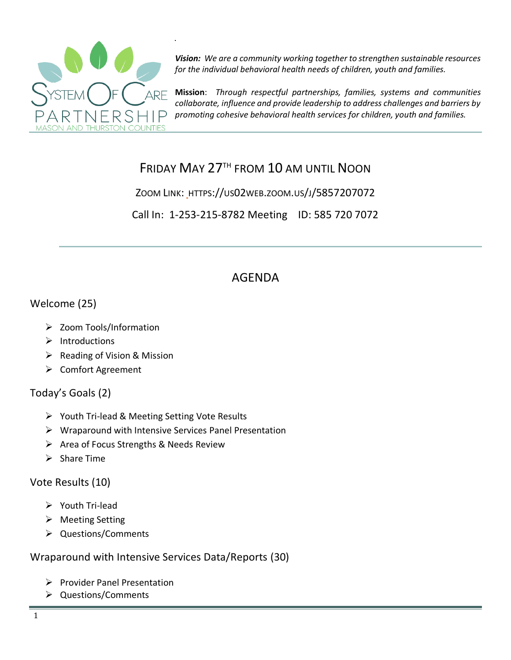

*Vision: We are a community working together to strengthen sustainable resources for the individual behavioral health needs of children, youth and families.*

**Mission**: *Through respectful partnerships, families, systems and communities collaborate, influence and provide leadership to address challenges and barriers by promoting cohesive behavioral health services for children, youth and families.*

# FRIDAY MAY 27TH FROM 10 AM UNTIL NOON

ZOOM LINK: HTTPS://US02WEB.ZOOM.US/J/5857207072

Call In: 1-253-215-8782 Meeting ID: 585 720 7072

# AGENDA

#### Welcome (25)

- ➢ Zoom Tools/Information
- ➢ Introductions
- ➢ Reading of Vision & Mission
- ➢ Comfort Agreement

## Today's Goals (2)

- ➢ Youth Tri-lead & Meeting Setting Vote Results
- ➢ Wraparound with Intensive Services Panel Presentation
- ➢ Area of Focus Strengths & Needs Review
- ➢ Share Time

## Vote Results (10)

- ➢ Youth Tri-lead
- ➢ Meeting Setting
- ➢ Questions/Comments

Wraparound with Intensive Services Data/Reports (30)

- ➢ Provider Panel Presentation
- ➢ Questions/Comments